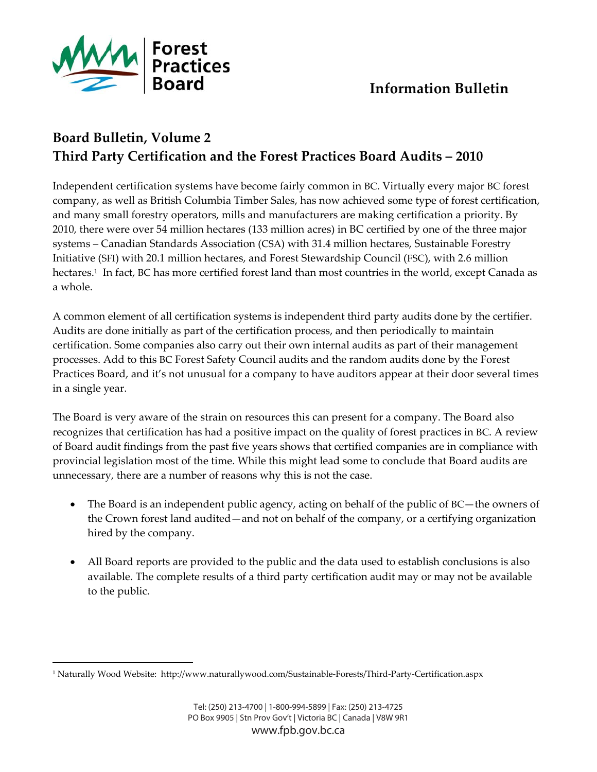

<u> 1989 - Johann Stein, marwolaethau a bh</u>

## **Board Bulletin, Volume 2 Third Party Certification and the Forest Practices Board Audits – 2010**

Independent certification systems have become fairly common in BC. Virtually every major BC forest company, as well as British Columbia Timber Sales, has now achieved some type of forest certification, and many small forestry operators, mills and manufacturers are making certification a priority. By 2010, there were over 54 million hectares (133 million acres) in BC certified by one of the three major systems – Canadian Standards Association (CSA) with 31.4 million hectares, Sustainable Forestry Initiative (SFI) with 20.1 million hectares, and Forest Stewardship Council (FSC), with 2.6 million hectares.<sup>1</sup> In fact, BC has more certified forest land than most countries in the world, except Canada as a whole.

A common element of all certification systems is independent third party audits done by the certifier. Audits are done initially as part of the certification process, and then periodically to maintain certification. Some companies also carry out their own internal audits as part of their management processes. Add to this BC Forest Safety Council audits and the random audits done by the Forest Practices Board, and it's not unusual for a company to have auditors appear at their door several times in a single year.

The Board is very aware of the strain on resources this can present for a company. The Board also recognizes that certification has had a positive impact on the quality of forest practices in BC. A review of Board audit findings from the past five years shows that certified companies are in compliance with provincial legislation most of the time. While this might lead some to conclude that Board audits are unnecessary, there are a number of reasons why this is not the case.

- The Board is an independent public agency, acting on behalf of the public of BC—the owners of the Crown forest land audited—and not on behalf of the company, or a certifying organization hired by the company.
- All Board reports are provided to the public and the data used to establish conclusions is also available. The complete results of a third party certification audit may or may not be available to the public.

<sup>1</sup> Naturally Wood Website: http://www.naturallywood.com/Sustainable‐Forests/Third‐Party‐Certification.aspx